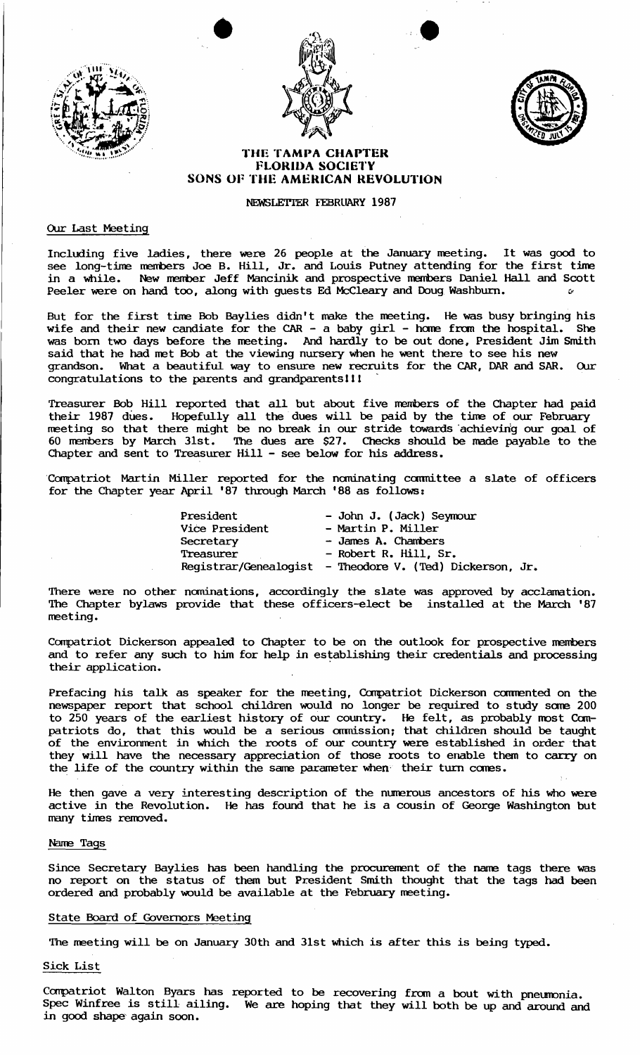



•



## **THE TAMPA CHAPTER FLORIDA SOCIETY SONS OF THE AMERICAN REVOLUTION**

## NEWSLETTER FEBRUARY 1987

## Our Last Meeting

Including five ladies, there were 26 people at the January neeting. It was good to see long-time members Joe B. Hill, Jr. and Louis Putney attending for the first time in a while. New member Jeff Mancinik and prospective members Daniel Hall and Scott Peeler were on hand too, along with guests Ed McCleary and Doug Washburn.

But for the first tine Bob Baylies didn't make the neeting. He was busy bringing his wife and their new candiate for the CAR - a baby girl - home from the hospital. She was born two days before the neeting. And hardly to be out done, President Jim Smith said that he had net Bob at the viewing nursery when he went there to see his new grandson. What a beautiful way to ensure new recruits for the CAR, DAR and SAR. OUr congratulations to the parents and grandparents!!!

Treasurer Bob Hill reported that all but about five members of the Chapter had paid their 1987 dues. Hopefully all the dues will be paid by the time of our February neeting so that there might be no break in our stride towards 'achievirig our goal of 60 rrembers by March 31st. The dues are \$27. Checks should be made payable to the Chapter and sent to Treasurer Hill - see below for his address.

'Compatriot Martin Miller reported for the nominating committee a slate of officers for the Chapter year April '87 through March •88 as follows:

| President      | - John J. (Jack) Seymour                                 |
|----------------|----------------------------------------------------------|
| Vice President | - Martin P. Miller                                       |
| Secretary      | - James A. Chambers                                      |
| Treasurer      | - Robert R. Hill, Sr.                                    |
|                | Registrar/Genealogist - Theodore V. (Ted) Dickerson, Jr. |

There were no other nominations, accordingly the slate was approved by acclamation. The Chapter bylaws provide that these officers-elect be installed at the March '87 neeting.

Compatriot Dickerson appealed to Chapter to be on the outlook for prospective members and to refer any such to him for help in establishing their credentials and processing their application.

Prefacing his talk as speaker for the meeting, Compatriot Dickerson commented on the newspaper report that school children would no longer be required to study sare 200 to 250 years of the earliest history of our country. He felt, as probably most Compatriots do, that this would be a serious ommission; that children should be taught of the environment in which the roots of our country were established in order that they will have the necessary appreciation of those roots to enable them to carry on the life of the country within the same parameter when their turn comes.

He then gave a very interesting description of the numerous ancestors of his who were active in the Revolution. He has found that he is a cousin of George Washington but many tines removed.

### Narre Tags

Since Secretary Baylies has been handling the procurenent of the nane tags there was no report on the status of them but President Smith thought that the tags had been ordered and probably would be available at the February neeting.

#### State Board of Governors Meeting

The neeting will be on January 30th and 31st which is after this is being typed.

## Sick List

Compatriot Walton Byars has reported to be recovering from a bout with pneumonia. Spec Winfree is still ailing. We are hoping that they will both be up and around and in good shape again soon.